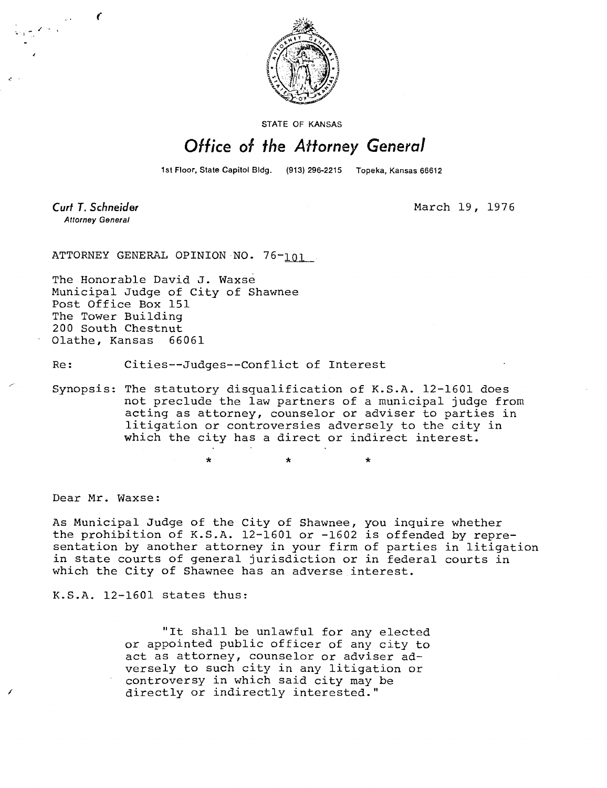

STATE OF KANSAS

## Office of the Attorney General

1st Floor, State Capitol Bldg. (913) 296-2215 Topeka, Kansas 66612

Curt T. Schneider **Attorney General** 

 $\epsilon$ 

March 19, 1976

ATTORNEY GENERAL OPINION NO. 76-101

The Honorable David J. Waxse Municipal Judge of City of Shawnee Post Office Box 151 The Tower Building 200 South Chestnut Olathe, Kansas 66061

Re: Cities--Judges--Conflict of Interest

Synopsis: The statutory disqualification of K.S.A. 12-1601 does not preclude the law partners of a municipal judge from acting as attorney, counselor or adviser to parties in litigation or controversies adversely to the city in which the city has a direct or indirect interest.

\*

Dear Mr. Waxse:

As Municipal Judge of the City of Shawnee, you inquire whether the prohibition of K.S.A. 12-1601 or -1602 is offended by representation by another attorney in your firm of parties in litigation in state courts of general jurisdiction or in federal courts in which the City of Shawnee has an adverse interest.

K.S.A. 12-1601 states thus:

"It shall be unlawful for any elected or appointed public officer of any city to act as attorney, counselor or adviser adversely to such city in any litigation or controversy in which said city may be directly or indirectly interested."